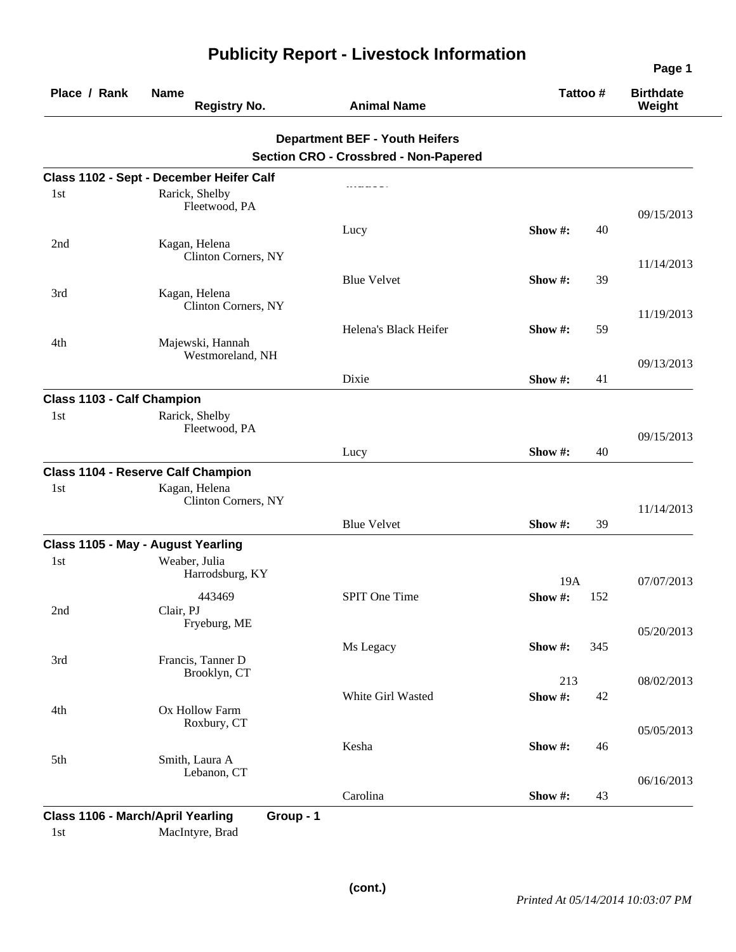| Place / Rank               | <b>Name</b><br><b>Registry No.</b>                                | <b>Animal Name</b>                                                                    | Tattoo #   |     | <b>Birthdate</b><br>Weight |
|----------------------------|-------------------------------------------------------------------|---------------------------------------------------------------------------------------|------------|-----|----------------------------|
|                            |                                                                   | <b>Department BEF - Youth Heifers</b><br><b>Section CRO - Crossbred - Non-Papered</b> |            |     |                            |
|                            | Class 1102 - Sept - December Heifer Calf                          |                                                                                       |            |     |                            |
| 1st                        | Rarick, Shelby<br>Fleetwood, PA                                   |                                                                                       |            |     | 09/15/2013                 |
| 2nd                        | Kagan, Helena<br>Clinton Corners, NY                              | Lucy                                                                                  | Show #:    | 40  | 11/14/2013                 |
| 3rd                        | Kagan, Helena<br>Clinton Corners, NY                              | <b>Blue Velvet</b>                                                                    | Show #:    | 39  |                            |
| 4th                        | Majewski, Hannah<br>Westmoreland, NH                              | Helena's Black Heifer                                                                 | Show #:    | 59  | 11/19/2013                 |
|                            |                                                                   | Dixie                                                                                 | Show #:    | 41  | 09/13/2013                 |
| Class 1103 - Calf Champion |                                                                   |                                                                                       |            |     |                            |
| 1st                        | Rarick, Shelby<br>Fleetwood, PA                                   |                                                                                       |            |     | 09/15/2013                 |
|                            |                                                                   | Lucy                                                                                  | Show #:    | 40  |                            |
|                            | <b>Class 1104 - Reserve Calf Champion</b>                         |                                                                                       |            |     |                            |
| 1st                        | Kagan, Helena<br>Clinton Corners, NY                              |                                                                                       |            |     | 11/14/2013                 |
|                            |                                                                   | <b>Blue Velvet</b>                                                                    | Show $#$ : | 39  |                            |
|                            | Class 1105 - May - August Yearling                                |                                                                                       |            |     |                            |
| 1 <sub>st</sub>            | Weaber, Julia<br>Harrodsburg, KY                                  |                                                                                       | 19A        |     | 07/07/2013                 |
| 2nd                        | 443469<br>Clair, PJ<br>Fryeburg, ME                               | SPIT One Time                                                                         | Show#:     | 152 |                            |
| 3rd                        | Francis, Tanner D                                                 | Ms Legacy                                                                             | Show #:    | 345 | 05/20/2013                 |
|                            | Brooklyn, CT                                                      |                                                                                       | 213        |     | 08/02/2013                 |
| 4th                        | Ox Hollow Farm<br>Roxbury, CT                                     | White Girl Wasted                                                                     | Show#:     | 42  |                            |
|                            |                                                                   | Kesha                                                                                 | Show #:    | 46  | 05/05/2013                 |
| 5th                        | Smith, Laura A<br>Lebanon, CT                                     |                                                                                       |            |     | 06/16/2013                 |
|                            |                                                                   | Carolina                                                                              | Show #:    | 43  |                            |
| 1st                        | Class 1106 - March/April Yearling<br>Group - 1<br>MacIntyre, Brad |                                                                                       |            |     |                            |

## **Publicity Report - Livestock Information**

**Page 1**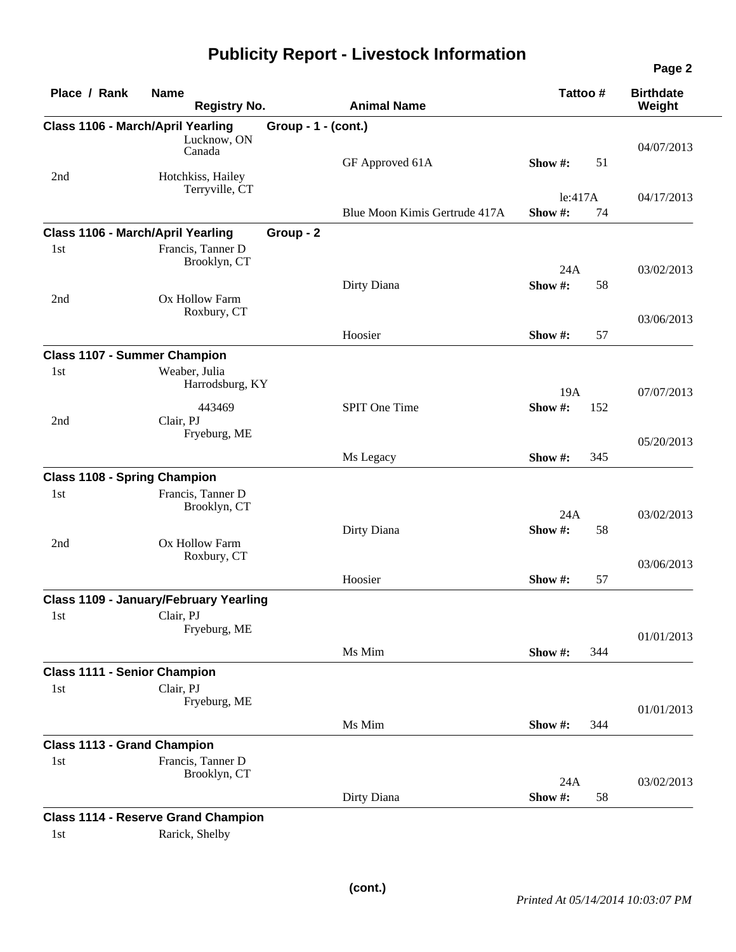## **Publicity Report - Livestock Information**

| Place / Rank                       | <b>Name</b><br><b>Registry No.</b>                      |                     | <b>Animal Name</b>            | Tattoo #           |     | <b>Birthdate</b><br>Weight |
|------------------------------------|---------------------------------------------------------|---------------------|-------------------------------|--------------------|-----|----------------------------|
|                                    | <b>Class 1106 - March/April Yearling</b><br>Lucknow, ON | Group - 1 - (cont.) |                               |                    |     |                            |
| 2nd                                | Canada<br>Hotchkiss, Hailey                             |                     | GF Approved 61A               | Show #:            | 51  | 04/07/2013                 |
|                                    | Terryville, CT                                          |                     |                               |                    |     |                            |
|                                    |                                                         |                     | Blue Moon Kimis Gertrude 417A | le:417A<br>Show #: | 74  | 04/17/2013                 |
|                                    | Class 1106 - March/April Yearling                       | Group - 2           |                               |                    |     |                            |
| 1st                                | Francis, Tanner D<br>Brooklyn, CT                       |                     |                               |                    |     |                            |
|                                    |                                                         |                     | Dirty Diana                   | 24A<br>Show#:      | 58  | 03/02/2013                 |
| 2nd                                | Ox Hollow Farm<br>Roxbury, CT                           |                     |                               |                    |     | 03/06/2013                 |
|                                    |                                                         |                     | Hoosier                       | Show #:            | 57  |                            |
|                                    | <b>Class 1107 - Summer Champion</b>                     |                     |                               |                    |     |                            |
| 1st                                | Weaber, Julia<br>Harrodsburg, KY                        |                     |                               | 19A                |     | 07/07/2013                 |
|                                    | 443469                                                  |                     | SPIT One Time                 | Show#:             | 152 |                            |
| 2nd                                | Clair, PJ<br>Fryeburg, ME                               |                     |                               |                    |     | 05/20/2013                 |
|                                    |                                                         |                     | Ms Legacy                     | Show #:            | 345 |                            |
|                                    | <b>Class 1108 - Spring Champion</b>                     |                     |                               |                    |     |                            |
| 1st                                | Francis, Tanner D<br>Brooklyn, CT                       |                     |                               | 24A                |     | 03/02/2013                 |
|                                    |                                                         |                     | Dirty Diana                   | Show #:            | 58  |                            |
| 2nd                                | Ox Hollow Farm<br>Roxbury, CT                           |                     |                               |                    |     | 03/06/2013                 |
|                                    |                                                         |                     | Hoosier                       | Show #:            | 57  |                            |
|                                    | Class 1109 - January/February Yearling                  |                     |                               |                    |     |                            |
| 1st                                | Clair. PJ<br>Fryeburg, ME                               |                     |                               |                    |     | 01/01/2013                 |
|                                    |                                                         |                     | Ms Mim                        | Show #:            | 344 |                            |
|                                    | <b>Class 1111 - Senior Champion</b>                     |                     |                               |                    |     |                            |
| 1st                                | Clair, PJ<br>Fryeburg, ME                               |                     |                               |                    |     |                            |
|                                    |                                                         |                     | Ms Mim                        | Show #:            | 344 | 01/01/2013                 |
| <b>Class 1113 - Grand Champion</b> |                                                         |                     |                               |                    |     |                            |
| 1st                                | Francis, Tanner D                                       |                     |                               |                    |     |                            |
|                                    | Brooklyn, CT                                            |                     |                               | 24A                |     | 03/02/2013                 |
|                                    |                                                         |                     | Dirty Diana                   | Show #:            | 58  |                            |

1st Rarick, Shelby

**Page 2**